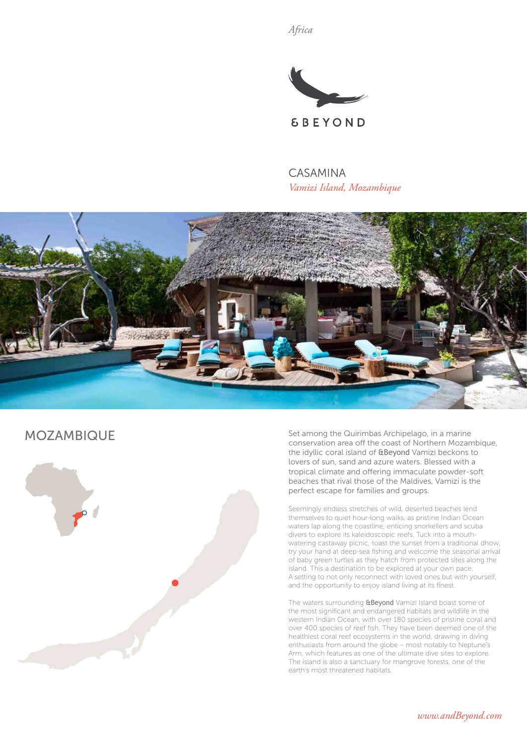*Africa*



CASAMINA *Vamizi Island, Mozambique*



# MOZAMBIQUE



Set among the Quirimbas Archipelago, in a marine conservation area off the coast of Northern Mozambique, the idyllic coral island of &Beyond Vamizi beckons to lovers of sun, sand and azure waters. Blessed with a tropical climate and offering immaculate powder-soft beaches that rival those of the Maldives, Vamizi is the perfect escape for families and groups.

Seemingly endless stretches of wild, deserted beaches lend themselves to quiet hour-long walks, as pristine Indian Ocean waters lap along the coastline, enticing snorkellers and scuba divers to explore its kaleidoscopic reefs. Tuck into a mouthwatering castaway picnic, toast the sunset from a traditional dhow, try your hand at deep-sea fishing and welcome the seasonal arrival of baby green turtles as they hatch from protected sites along the island. This a destination to be explored at your own pace. A setting to not only reconnect with loved ones but with yourself, and the opportunity to enjoy island living at its finest.

The waters surrounding **&Beyond** Vamizi Island boast some of the most significant and endangered habitats and wildlife in the western Indian Ocean, with over 180 species of pristine coral and over 400 species of reef fish. They have been deemed one of the healthiest coral reef ecosystems in the world, drawing in diving enthusiasts from around the globe – most notably to Neptune's Arm, which features as one of the ultimate dive sites to explore. The island is also a sanctuary for mangrove forests, one of the earth's most threatened habitats.

*www.andBeyond.com*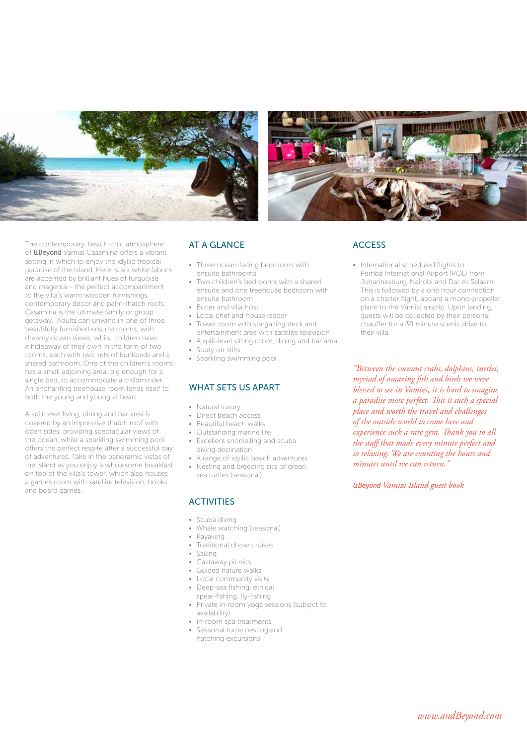



The contemporary, beach-chic atmosphere of &Beyond Vamizi Casamina offers a vibrant setting in which to enjoy the idyllic tropical paradise of the island. Here, stark white fabrics are accented by brilliant hues of turquoise and magenta – the perfect accompaniment to the villa's warm wooden furnishings, contemporary décor and palm-thatch roofs. Casamina is the ultimate family or group getaway. Adults can unwind in one of three beautifully furnished ensuite rooms, with dreamy ocean views, whilst children have a hideaway of their own in the form of two rooms, each with two sets of bunkbeds and a shared bathroom. One of the children's rooms has a small adjoining area, big enough for a single bed, to accommodate a childminder. An enchanting treehouse room lends itself to both the young and young at heart.

A split-level living, dining and bar area is covered by an impressive thatch roof with open sides, providing spectacular views of the ocean, while a sparkling swimming pool offers the perfect respite after a successful day of adventures. Take in the panoramic vistas of the island as you enjoy a wholesome breakfast on top of the villa's tower, which also houses a games room with satellite television, books and board games.

## AT A GLANCE

- Three ocean-facing bedrooms with ensuite bathrooms
- Two children's bedrooms with a shared ensuite and one treehouse bedroom with ensuite bathroom
- Butler and villa host
- Local chef and housekeeper
- Tower room with stargazing deck and entertainment area with satellite television
- A split-level sitting room, dining and bar area
- Study on stilts
- Sparkling swimming pool

#### WHAT SETS US APART

- Natural luxury
- Direct beach access
- Beautiful beach walks
- Outstanding marine life
- Excellent snorkelling and scuba diving destination
- A range of idyllic beach adventures
- Nesting and breeding site of green sea turtles (seasonal)

#### **ACTIVITIES**

- Scuba diving
- Whale watching (seasonal)
- Kayaking
	- Traditional dhow cruises
	- Sailing
	- Castaway picnics
	- Guided nature walks
	- Local community visits
	- Deep-sea fishing, ethical spear-fishing, fly-fishing
	- Private in-room yoga sessions (subject to availability)
	- In-room spa treatments
	- Seasonal turtle nesting and hatching excursions

### **ACCESS**

• International scheduled flights to Pemba International Airport (POL) from Johannesburg, Nairobi and Dar es Salaam. This is followed by a one hour connection on a charter flight, aboard a mono-propeller plane to the Vamizi airstrip. Upon landing, guests will be collected by their personal chauffer for a 30 minute scenic drive to their villa.

*"Between the coconut crabs, dolphins, turtles, myriad of amazing fish and birds we were blessed to see in Vamizi, it is hard to imagine a paradise more perfect. This is such a special place and worth the travel and challenges of the outside world to come here and experience such a rare gem. Thank you to all the staff that made every minute perfect and so relaxing. We are counting the hours and minutes until we can return."*

*&Beyond Vamizi Island guest book*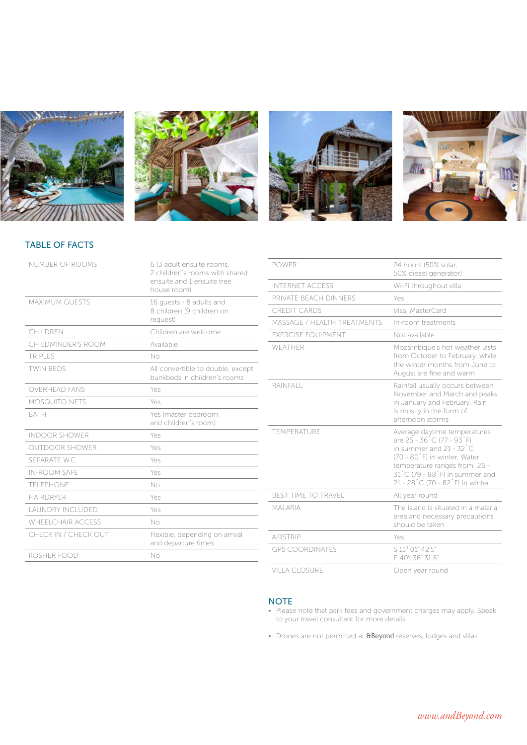







# TABLE OF FACTS

| NUMBER OF ROOMS         | 6 (3 adult ensuite rooms,<br>2 children's rooms with shared<br>ensuite and 1 ensuite tree<br>house room) |
|-------------------------|----------------------------------------------------------------------------------------------------------|
| <b>MAXIMUM GUESTS</b>   | 16 quests - 8 adults and<br>8 children (9 children on<br>request)                                        |
| CHILDREN                | Children are welcome                                                                                     |
| CHILDMINDER'S ROOM      | Available                                                                                                |
| <b>TRIPLES</b>          | No                                                                                                       |
| <b>TWIN BEDS</b>        | All convertible to double, except<br>bunkbeds in children's rooms                                        |
| <b>OVERHEAD FANS</b>    | Yes                                                                                                      |
| <b>MOSQUITO NETS</b>    | Yes                                                                                                      |
| <b>BATH</b>             | Yes (master bedroom<br>and children's room)                                                              |
| <b>INDOOR SHOWER</b>    | Yes                                                                                                      |
| OUTDOOR SHOWER          | Yes                                                                                                      |
| SFPARATE W.C.           | Yes                                                                                                      |
| <b>IN-ROOM SAFE</b>     | Yes                                                                                                      |
| TELEPHONE               | No                                                                                                       |
| <b>HAIRDRYER</b>        | Yes                                                                                                      |
| <b>LAUNDRY INCLUDED</b> | Yes                                                                                                      |
| WHEEL CHAIR ACCESS      | No                                                                                                       |
| CHECK IN / CHECK OUT    | Flexible, depending on arrival<br>and departure times                                                    |
| <b>KOSHER FOOD</b>      | No                                                                                                       |
|                         |                                                                                                          |

| <b>POWER</b>                     | 24 hours (50% solar.<br>50% diesel generator)                                                                                                                                                                                                               |
|----------------------------------|-------------------------------------------------------------------------------------------------------------------------------------------------------------------------------------------------------------------------------------------------------------|
| <b>INTERNET ACCESS</b>           | Wi-Fi throughout villa                                                                                                                                                                                                                                      |
| PRIVATE BEACH DINNFRS            | Yes                                                                                                                                                                                                                                                         |
| <b>CREDIT CARDS</b>              | Visa, MasterCard                                                                                                                                                                                                                                            |
| MASSAGE / HEALTH TREATMENTS      | In-room treatments                                                                                                                                                                                                                                          |
| <b><i>EXERCISE EQUIPMENT</i></b> | Not available                                                                                                                                                                                                                                               |
| WFATHER                          | Mozambique's hot weather lasts<br>from October to February, while<br>the winter months from June to<br>August are fine and warm                                                                                                                             |
| RAINFALL                         | Rainfall usually occurs between<br>November and March and peaks<br>in January and February. Rain<br>is mostly in the form of<br>afternoon storms                                                                                                            |
| <b>TEMPERATURE</b>               | Average daytime temperatures<br>are 25 - 36 °C (77 - 93 °F)<br>in summer and $21 - 32^{\circ}C$<br>(70 - 80°F) in winter. Water<br>temperature ranges from 26 -<br>$31^{\circ}$ C (79 - 88 $^{\circ}$ F) in summer and<br>21 - 28 °C (70 - 82 °F) in winter |
| <b>BEST TIME TO TRAVEL</b>       | All year round                                                                                                                                                                                                                                              |
| <b>MAI ARIA</b>                  | The island is situated in a malaria<br>area and necessary precautions<br>should be taken                                                                                                                                                                    |
| <b>AIRSTRIP</b>                  | Yes                                                                                                                                                                                                                                                         |
| <b>GPS COORDINATES</b>           | S 11º 01' 42.5"<br>E 40° 36' 31.5"                                                                                                                                                                                                                          |
| <b>VILLA CLOSURE</b>             | Open year round                                                                                                                                                                                                                                             |

#### **NOTE**

- Please note that park fees and government charges may apply. Speak to your travel consultant for more details.
- Drones are not permitted at **&Beyond** reserves, lodges and villas.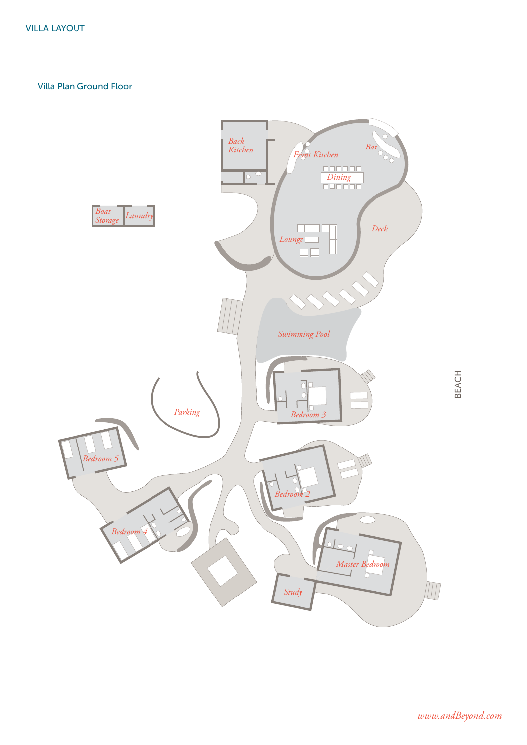Villa Plan Ground Floor